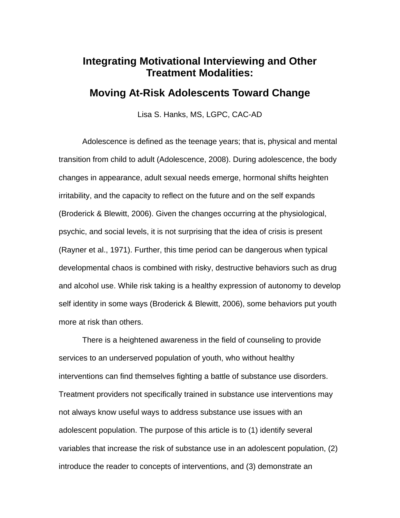## **Integrating Motivational Interviewing and Other Treatment Modalities:**

## **Moving At-Risk Adolescents Toward Change**

Lisa S. Hanks, MS, LGPC, CAC-AD

Adolescence is defined as the teenage years; that is, physical and mental transition from child to adult (Adolescence, 2008). During adolescence, the body changes in appearance, adult sexual needs emerge, hormonal shifts heighten irritability, and the capacity to reflect on the future and on the self expands (Broderick & Blewitt, 2006). Given the changes occurring at the physiological, psychic, and social levels, it is not surprising that the idea of crisis is present (Rayner et al., 1971). Further, this time period can be dangerous when typical developmental chaos is combined with risky, destructive behaviors such as drug and alcohol use. While risk taking is a healthy expression of autonomy to develop self identity in some ways (Broderick & Blewitt, 2006), some behaviors put youth more at risk than others.

There is a heightened awareness in the field of counseling to provide services to an underserved population of youth, who without healthy interventions can find themselves fighting a battle of substance use disorders. Treatment providers not specifically trained in substance use interventions may not always know useful ways to address substance use issues with an adolescent population. The purpose of this article is to (1) identify several variables that increase the risk of substance use in an adolescent population, (2) introduce the reader to concepts of interventions, and (3) demonstrate an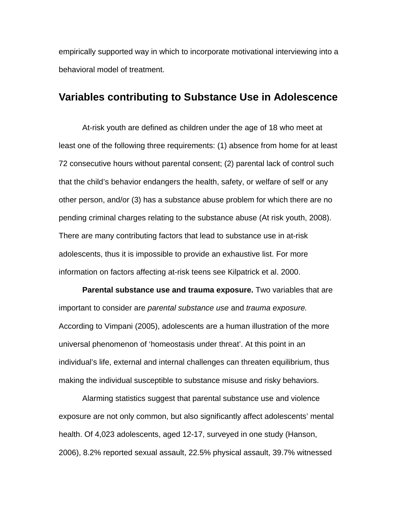empirically supported way in which to incorporate motivational interviewing into a behavioral model of treatment.

### **Variables contributing to Substance Use in Adolescence**

At-risk youth are defined as children under the age of 18 who meet at least one of the following three requirements: (1) absence from home for at least 72 consecutive hours without parental consent; (2) parental lack of control such that the child's behavior endangers the health, safety, or welfare of self or any other person, and/or (3) has a substance abuse problem for which there are no pending criminal charges relating to the substance abuse (At risk youth, 2008). There are many contributing factors that lead to substance use in at-risk adolescents, thus it is impossible to provide an exhaustive list. For more information on factors affecting at-risk teens see Kilpatrick et al. 2000.

**Parental substance use and trauma exposure.** Two variables that are important to consider are *parental substance use* and *trauma exposure.* According to Vimpani (2005), adolescents are a human illustration of the more universal phenomenon of 'homeostasis under threat'. At this point in an individual's life, external and internal challenges can threaten equilibrium, thus making the individual susceptible to substance misuse and risky behaviors.

Alarming statistics suggest that parental substance use and violence exposure are not only common, but also significantly affect adolescents' mental health. Of 4,023 adolescents, aged 12-17, surveyed in one study (Hanson, 2006), 8.2% reported sexual assault, 22.5% physical assault, 39.7% witnessed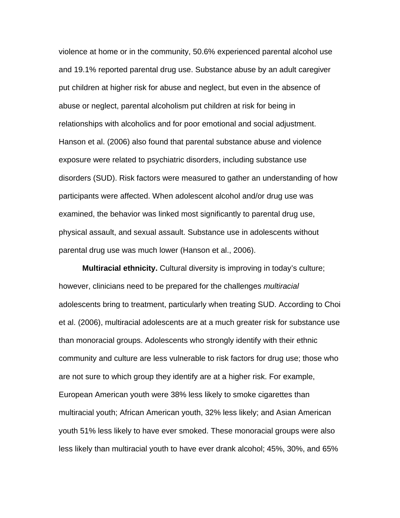violence at home or in the community, 50.6% experienced parental alcohol use and 19.1% reported parental drug use. Substance abuse by an adult caregiver put children at higher risk for abuse and neglect, but even in the absence of abuse or neglect, parental alcoholism put children at risk for being in relationships with alcoholics and for poor emotional and social adjustment. Hanson et al. (2006) also found that parental substance abuse and violence exposure were related to psychiatric disorders, including substance use disorders (SUD). Risk factors were measured to gather an understanding of how participants were affected. When adolescent alcohol and/or drug use was examined, the behavior was linked most significantly to parental drug use, physical assault, and sexual assault. Substance use in adolescents without parental drug use was much lower (Hanson et al., 2006).

**Multiracial ethnicity.** Cultural diversity is improving in today's culture; however, clinicians need to be prepared for the challenges *multiracial* adolescents bring to treatment, particularly when treating SUD. According to Choi et al. (2006), multiracial adolescents are at a much greater risk for substance use than monoracial groups. Adolescents who strongly identify with their ethnic community and culture are less vulnerable to risk factors for drug use; those who are not sure to which group they identify are at a higher risk. For example, European American youth were 38% less likely to smoke cigarettes than multiracial youth; African American youth, 32% less likely; and Asian American youth 51% less likely to have ever smoked. These monoracial groups were also less likely than multiracial youth to have ever drank alcohol; 45%, 30%, and 65%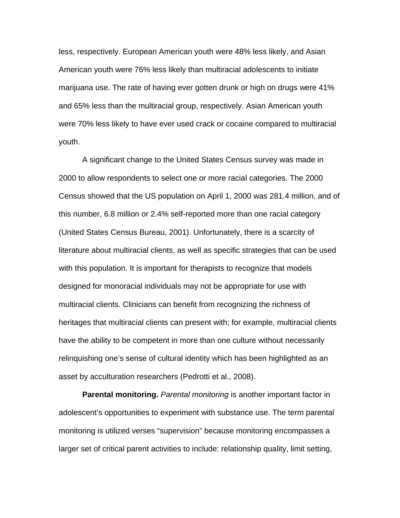less, respectively. European American youth were 48% less likely, and Asian American youth were 76% less likely than multiracial adolescents to initiate marijuana use. The rate of having ever gotten drunk or high on drugs were 41% and 65% less than the multiracial group, respectively. Asian American youth were 70% less likely to have ever used crack or cocaine compared to multiracial youth.

A significant change to the United States Census survey was made in 2000 to allow respondents to select one or more racial categories. The 2000 Census showed that the US population on April 1, 2000 was 281.4 million, and of this number, 6.8 million or 2.4% self-reported more than one racial category (United States Census Bureau, 2001). Unfortunately, there is a scarcity of literature about multiracial clients, as well as specific strategies that can be used with this population. It is important for therapists to recognize that models designed for monoracial individuals may not be appropriate for use with multiracial clients. Clinicians can benefit from recognizing the richness of heritages that multiracial clients can present with; for example, multiracial clients have the ability to be competent in more than one culture without necessarily relinquishing one's sense of cultural identity which has been highlighted as an asset by acculturation researchers (Pedrotti et al., 2008).

**Parental monitoring.** *Parental monitoring* is another important factor in adolescent's opportunities to experiment with substance use. The term parental monitoring is utilized verses "supervision" because monitoring encompasses a larger set of critical parent activities to include: relationship quality, limit setting,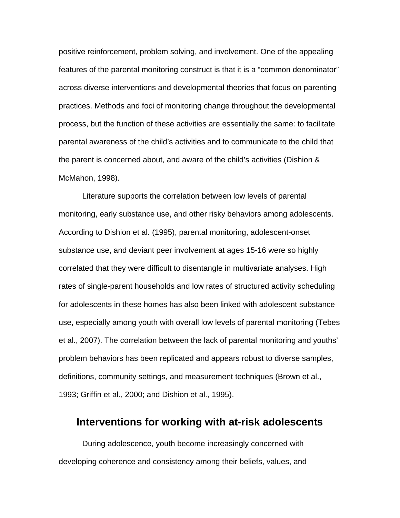positive reinforcement, problem solving, and involvement. One of the appealing features of the parental monitoring construct is that it is a "common denominator" across diverse interventions and developmental theories that focus on parenting practices. Methods and foci of monitoring change throughout the developmental process, but the function of these activities are essentially the same: to facilitate parental awareness of the child's activities and to communicate to the child that the parent is concerned about, and aware of the child's activities (Dishion & McMahon, 1998).

Literature supports the correlation between low levels of parental monitoring, early substance use, and other risky behaviors among adolescents. According to Dishion et al. (1995), parental monitoring, adolescent-onset substance use, and deviant peer involvement at ages 15-16 were so highly correlated that they were difficult to disentangle in multivariate analyses. High rates of single-parent households and low rates of structured activity scheduling for adolescents in these homes has also been linked with adolescent substance use, especially among youth with overall low levels of parental monitoring (Tebes et al., 2007). The correlation between the lack of parental monitoring and youths' problem behaviors has been replicated and appears robust to diverse samples, definitions, community settings, and measurement techniques (Brown et al., 1993; Griffin et al., 2000; and Dishion et al., 1995).

## **Interventions for working with at-risk adolescents**

During adolescence, youth become increasingly concerned with developing coherence and consistency among their beliefs, values, and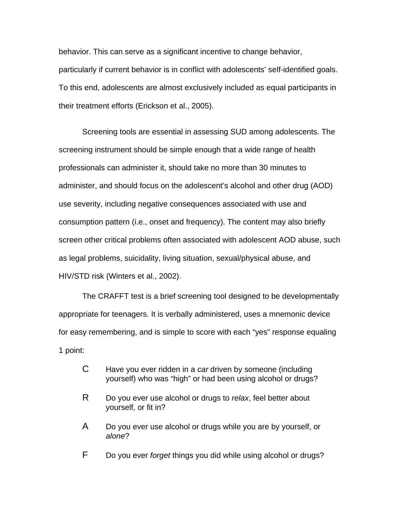behavior. This can serve as a significant incentive to change behavior, particularly if current behavior is in conflict with adolescents' self-identified goals. To this end, adolescents are almost exclusively included as equal participants in their treatment efforts (Erickson et al., 2005).

Screening tools are essential in assessing SUD among adolescents. The screening instrument should be simple enough that a wide range of health professionals can administer it, should take no more than 30 minutes to administer, and should focus on the adolescent's alcohol and other drug (AOD) use severity, including negative consequences associated with use and consumption pattern (i.e., onset and frequency). The content may also briefly screen other critical problems often associated with adolescent AOD abuse, such as legal problems, suicidality, living situation, sexual/physical abuse, and HIV/STD risk (Winters et al., 2002).

The CRAFFT test is a brief screening tool designed to be developmentally appropriate for teenagers. It is verbally administered, uses a mnemonic device for easy remembering, and is simple to score with each "yes" response equaling 1 point:

- C Have you ever ridden in a *car* driven by someone (including yourself) who was "high" or had been using alcohol or drugs?
- R Do you ever use alcohol or drugs to *relax*, feel better about yourself, or fit in?
- A Do you ever use alcohol or drugs while you are by yourself, or *alone*?
- F Do you ever *forget* things you did while using alcohol or drugs?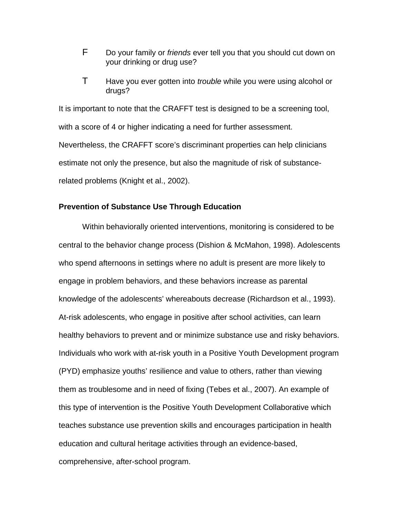- F Do your family or *friends* ever tell you that you should cut down on your drinking or drug use?
- T Have you ever gotten into *trouble* while you were using alcohol or drugs?

It is important to note that the CRAFFT test is designed to be a screening tool, with a score of 4 or higher indicating a need for further assessment. Nevertheless, the CRAFFT score's discriminant properties can help clinicians estimate not only the presence, but also the magnitude of risk of substancerelated problems (Knight et al., 2002).

#### **Prevention of Substance Use Through Education**

Within behaviorally oriented interventions, monitoring is considered to be central to the behavior change process (Dishion & McMahon, 1998). Adolescents who spend afternoons in settings where no adult is present are more likely to engage in problem behaviors, and these behaviors increase as parental knowledge of the adolescents' whereabouts decrease (Richardson et al., 1993). At-risk adolescents, who engage in positive after school activities, can learn healthy behaviors to prevent and or minimize substance use and risky behaviors. Individuals who work with at-risk youth in a Positive Youth Development program (PYD) emphasize youths' resilience and value to others, rather than viewing them as troublesome and in need of fixing (Tebes et al., 2007). An example of this type of intervention is the Positive Youth Development Collaborative which teaches substance use prevention skills and encourages participation in health education and cultural heritage activities through an evidence-based, comprehensive, after-school program.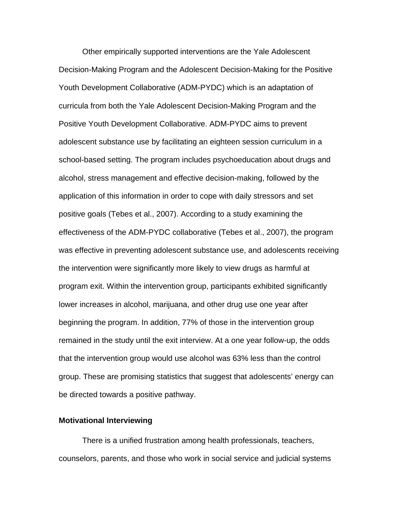Other empirically supported interventions are the Yale Adolescent Decision-Making Program and the Adolescent Decision-Making for the Positive Youth Development Collaborative (ADM-PYDC) which is an adaptation of curricula from both the Yale Adolescent Decision-Making Program and the Positive Youth Development Collaborative. ADM-PYDC aims to prevent adolescent substance use by facilitating an eighteen session curriculum in a school-based setting. The program includes psychoeducation about drugs and alcohol, stress management and effective decision-making, followed by the application of this information in order to cope with daily stressors and set positive goals (Tebes et al., 2007). According to a study examining the effectiveness of the ADM-PYDC collaborative (Tebes et al., 2007), the program was effective in preventing adolescent substance use, and adolescents receiving the intervention were significantly more likely to view drugs as harmful at program exit. Within the intervention group, participants exhibited significantly lower increases in alcohol, marijuana, and other drug use one year after beginning the program. In addition, 77% of those in the intervention group remained in the study until the exit interview. At a one year follow-up, the odds that the intervention group would use alcohol was 63% less than the control group. These are promising statistics that suggest that adolescents' energy can be directed towards a positive pathway.

#### **Motivational Interviewing**

There is a unified frustration among health professionals, teachers, counselors, parents, and those who work in social service and judicial systems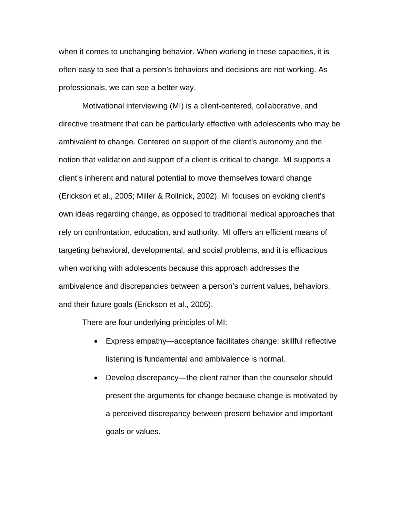when it comes to unchanging behavior. When working in these capacities, it is often easy to see that a person's behaviors and decisions are not working. As professionals, we can see a better way.

Motivational interviewing (MI) is a client-centered, collaborative, and directive treatment that can be particularly effective with adolescents who may be ambivalent to change. Centered on support of the client's autonomy and the notion that validation and support of a client is critical to change. MI supports a client's inherent and natural potential to move themselves toward change (Erickson et al., 2005; Miller & Rollnick, 2002). MI focuses on evoking client's own ideas regarding change, as opposed to traditional medical approaches that rely on confrontation, education, and authority. MI offers an efficient means of targeting behavioral, developmental, and social problems, and it is efficacious when working with adolescents because this approach addresses the ambivalence and discrepancies between a person's current values, behaviors, and their future goals (Erickson et al., 2005).

There are four underlying principles of MI:

- Express empathy—acceptance facilitates change: skillful reflective listening is fundamental and ambivalence is normal.
- Develop discrepancy—the client rather than the counselor should present the arguments for change because change is motivated by a perceived discrepancy between present behavior and important goals or values.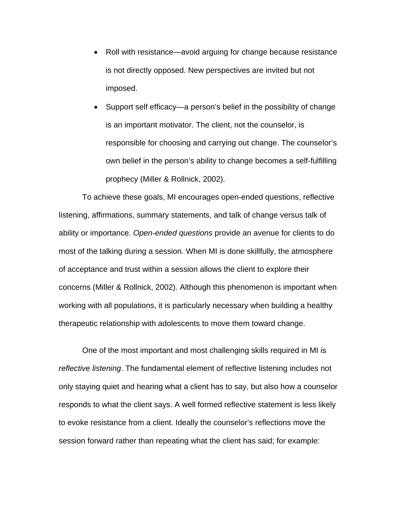- Roll with resistance—avoid arguing for change because resistance is not directly opposed. New perspectives are invited but not imposed.
- Support self efficacy—a person's belief in the possibility of change is an important motivator. The client, not the counselor, is responsible for choosing and carrying out change. The counselor's own belief in the person's ability to change becomes a self-fulfilling prophecy (Miller & Rollnick, 2002).

To achieve these goals, MI encourages open-ended questions, reflective listening, affirmations, summary statements, and talk of change versus talk of ability or importance. *Open-ended questions* provide an avenue for clients to do most of the talking during a session. When MI is done skillfully, the atmosphere of acceptance and trust within a session allows the client to explore their concerns (Miller & Rollnick, 2002). Although this phenomenon is important when working with all populations, it is particularly necessary when building a healthy therapeutic relationship with adolescents to move them toward change.

One of the most important and most challenging skills required in MI is *reflective listening*. The fundamental element of reflective listening includes not only staying quiet and hearing what a client has to say, but also how a counselor responds to what the client says. A well formed reflective statement is less likely to evoke resistance from a client. Ideally the counselor's reflections move the session forward rather than repeating what the client has said; for example: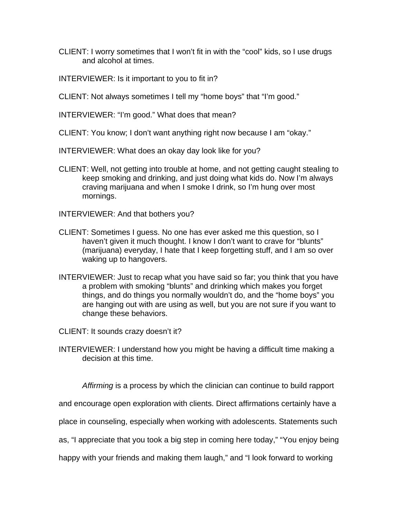- CLIENT: I worry sometimes that I won't fit in with the "cool" kids, so I use drugs and alcohol at times.
- INTERVIEWER: Is it important to you to fit in?
- CLIENT: Not always sometimes I tell my "home boys" that "I'm good."

INTERVIEWER: "I'm good." What does that mean?

CLIENT: You know; I don't want anything right now because I am "okay."

INTERVIEWER: What does an okay day look like for you?

CLIENT: Well, not getting into trouble at home, and not getting caught stealing to keep smoking and drinking, and just doing what kids do. Now I'm always craving marijuana and when I smoke I drink, so I'm hung over most mornings.

INTERVIEWER: And that bothers you?

- CLIENT: Sometimes I guess. No one has ever asked me this question, so I haven't given it much thought. I know I don't want to crave for "blunts" (marijuana) everyday, I hate that I keep forgetting stuff, and I am so over waking up to hangovers.
- INTERVIEWER: Just to recap what you have said so far; you think that you have a problem with smoking "blunts" and drinking which makes you forget things, and do things you normally wouldn't do, and the "home boys" you are hanging out with are using as well, but you are not sure if you want to change these behaviors.
- CLIENT: It sounds crazy doesn't it?
- INTERVIEWER: I understand how you might be having a difficult time making a decision at this time.

*Affirming* is a process by which the clinician can continue to build rapport

and encourage open exploration with clients. Direct affirmations certainly have a

place in counseling, especially when working with adolescents. Statements such

as, "I appreciate that you took a big step in coming here today," "You enjoy being

happy with your friends and making them laugh," and "I look forward to working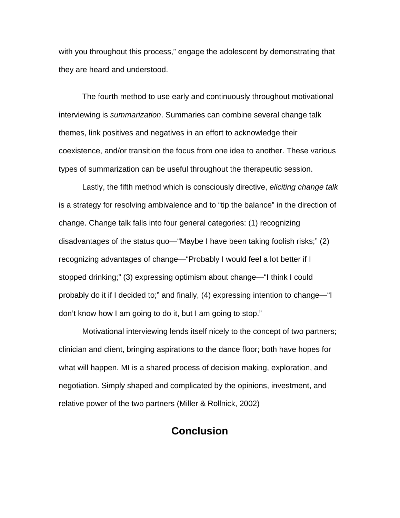with you throughout this process," engage the adolescent by demonstrating that they are heard and understood.

The fourth method to use early and continuously throughout motivational interviewing is *summarization*. Summaries can combine several change talk themes, link positives and negatives in an effort to acknowledge their coexistence, and/or transition the focus from one idea to another. These various types of summarization can be useful throughout the therapeutic session.

Lastly, the fifth method which is consciously directive, *eliciting change talk* is a strategy for resolving ambivalence and to "tip the balance" in the direction of change. Change talk falls into four general categories: (1) recognizing disadvantages of the status quo—"Maybe I have been taking foolish risks;" (2) recognizing advantages of change—"Probably I would feel a lot better if I stopped drinking;" (3) expressing optimism about change—"I think I could probably do it if I decided to;" and finally, (4) expressing intention to change—"I don't know how I am going to do it, but I am going to stop."

Motivational interviewing lends itself nicely to the concept of two partners; clinician and client, bringing aspirations to the dance floor; both have hopes for what will happen. MI is a shared process of decision making, exploration, and negotiation. Simply shaped and complicated by the opinions, investment, and relative power of the two partners (Miller & Rollnick, 2002)

## **Conclusion**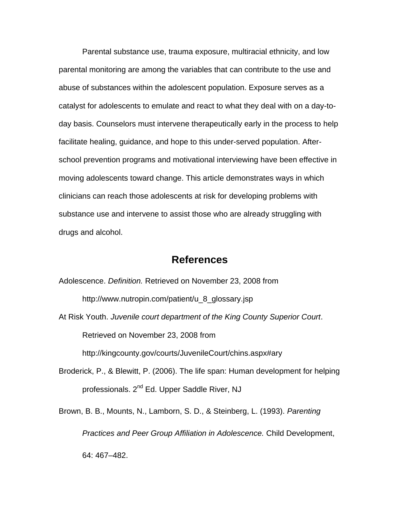Parental substance use, trauma exposure, multiracial ethnicity, and low parental monitoring are among the variables that can contribute to the use and abuse of substances within the adolescent population. Exposure serves as a catalyst for adolescents to emulate and react to what they deal with on a day-today basis. Counselors must intervene therapeutically early in the process to help facilitate healing, guidance, and hope to this under-served population. Afterschool prevention programs and motivational interviewing have been effective in moving adolescents toward change. This article demonstrates ways in which clinicians can reach those adolescents at risk for developing problems with substance use and intervene to assist those who are already struggling with drugs and alcohol.

### **References**

Adolescence. *Definition.* Retrieved on November 23, 2008 from

http://www.nutropin.com/patient/u\_8\_glossary.jsp

At Risk Youth. *Juvenile court department of the King County Superior Court*. Retrieved on November 23, 2008 from

http://kingcounty.gov/courts/JuvenileCourt/chins.aspx#ary

Broderick, P., & Blewitt, P. (2006). The life span: Human development for helping professionals. 2nd Ed. Upper Saddle River, NJ

Brown, B. B., Mounts, N., Lamborn, S. D., & Steinberg, L. (1993). *Parenting Practices and Peer Group Affiliation in Adolescence.* Child Development, 64: 467–482.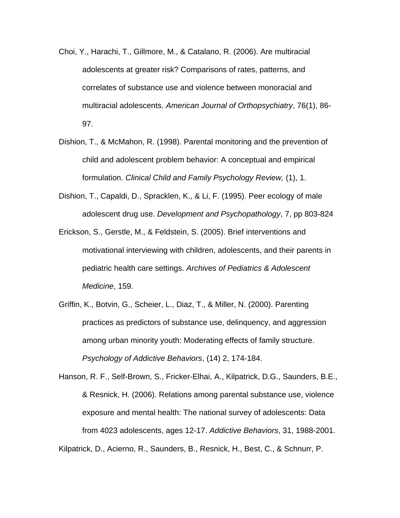- Choi, Y., Harachi, T., Gillmore, M., & Catalano, R. (2006). Are multiracial adolescents at greater risk? Comparisons of rates, patterns, and correlates of substance use and violence between monoracial and multiracial adolescents. *American Journal of Orthopsychiatry*, 76(1), 86- 97.
- Dishion, T., & McMahon, R. (1998). Parental monitoring and the prevention of child and adolescent problem behavior: A conceptual and empirical formulation. *Clinical Child and Family Psychology Review,* (1), 1.
- Dishion, T., Capaldi, D., Spracklen, K., & Li, F. (1995). Peer ecology of male adolescent drug use. *Development and Psychopathology*, 7, pp 803-824
- Erickson, S., Gerstle, M., & Feldstein, S. (2005). Brief interventions and motivational interviewing with children, adolescents, and their parents in pediatric health care settings. *Archives of Pediatrics & Adolescent Medicine*, 159.
- Griffin, K., Botvin, G., Scheier, L., Diaz, T., & Miller, N. (2000). Parenting practices as predictors of substance use, delinquency, and aggression among urban minority youth: Moderating effects of family structure. *Psychology of Addictive Behaviors*, (14) 2, 174-184.

Hanson, R. F., Self-Brown, S., Fricker-Elhai, A., Kilpatrick, D.G., Saunders, B.E., & Resnick, H. (2006). Relations among parental substance use, violence exposure and mental health: The national survey of adolescents: Data from 4023 adolescents, ages 12-17. *Addictive Behaviors*, 31, 1988-2001.

Kilpatrick, D., Acierno, R., Saunders, B., Resnick, H., Best, C., & Schnurr, P.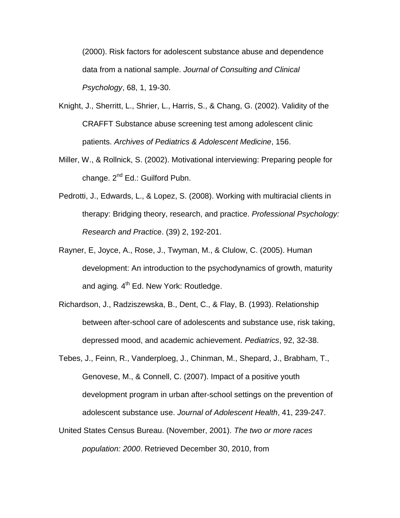(2000). Risk factors for adolescent substance abuse and dependence data from a national sample. *Journal of Consulting and Clinical Psychology*, 68, 1, 19-30.

- Knight, J., Sherritt, L., Shrier, L., Harris, S., & Chang, G. (2002). Validity of the CRAFFT Substance abuse screening test among adolescent clinic patients. *Archives of Pediatrics & Adolescent Medicine*, 156.
- Miller, W., & Rollnick, S. (2002). Motivational interviewing: Preparing people for change. 2<sup>nd</sup> Ed.: Guilford Pubn.
- Pedrotti, J., Edwards, L., & Lopez, S. (2008). Working with multiracial clients in therapy: Bridging theory, research, and practice. *Professional Psychology: Research and Practi*ce. (39) 2, 192-201.
- Rayner, E, Joyce, A., Rose, J., Twyman, M., & Clulow, C. (2005). Human development: An introduction to the psychodynamics of growth, maturity and aging, 4<sup>th</sup> Ed. New York: Routledge.
- Richardson, J., Radziszewska, B., Dent, C., & Flay, B. (1993). Relationship between after-school care of adolescents and substance use, risk taking, depressed mood, and academic achievement. *Pediatrics*, 92, 32-38.
- Tebes, J., Feinn, R., Vanderploeg, J., Chinman, M., Shepard, J., Brabham, T., Genovese, M., & Connell, C. (2007). Impact of a positive youth development program in urban after-school settings on the prevention of adolescent substance use. *Journal of Adolescent Health*, 41, 239-247.
- United States Census Bureau. (November, 2001). *The two or more races population: 2000*. Retrieved December 30, 2010, from